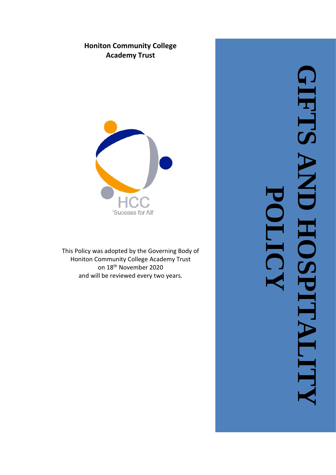# **Honiton Community College Academy Trust**



This Policy was adopted by the Governing Body of Honiton Community College Academy Trust on 18th November 2020 and will be reviewed every two years .

**GIFTS AND HOSPITALITY TETRA AND HOSPITALIT POLICYHall**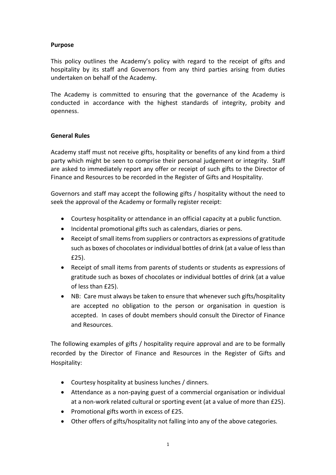#### **Purpose**

This policy outlines the Academy's policy with regard to the receipt of gifts and hospitality by its staff and Governors from any third parties arising from duties undertaken on behalf of the Academy.

The Academy is committed to ensuring that the governance of the Academy is conducted in accordance with the highest standards of integrity, probity and openness.

#### **General Rules**

Academy staff must not receive gifts, hospitality or benefits of any kind from a third party which might be seen to comprise their personal judgement or integrity. Staff are asked to immediately report any offer or receipt of such gifts to the Director of Finance and Resources to be recorded in the Register of Gifts and Hospitality.

Governors and staff may accept the following gifts / hospitality without the need to seek the approval of the Academy or formally register receipt:

- Courtesy hospitality or attendance in an official capacity at a public function.
- Incidental promotional gifts such as calendars, diaries or pens.
- Receipt of small items from suppliers or contractors as expressions of gratitude such as boxes of chocolates or individual bottles of drink (at a value of less than £25).
- Receipt of small items from parents of students or students as expressions of gratitude such as boxes of chocolates or individual bottles of drink (at a value of less than £25).
- NB: Care must always be taken to ensure that whenever such gifts/hospitality are accepted no obligation to the person or organisation in question is accepted. In cases of doubt members should consult the Director of Finance and Resources.

The following examples of gifts / hospitality require approval and are to be formally recorded by the Director of Finance and Resources in the Register of Gifts and Hospitality:

- Courtesy hospitality at business lunches / dinners.
- Attendance as a non-paying guest of a commercial organisation or individual at a non-work related cultural or sporting event (at a value of more than £25).
- Promotional gifts worth in excess of £25.
- Other offers of gifts/hospitality not falling into any of the above categories.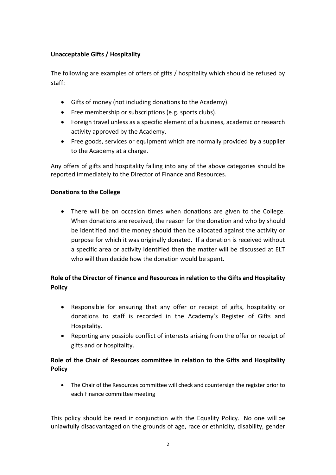## **Unacceptable Gifts / Hospitality**

The following are examples of offers of gifts / hospitality which should be refused by staff:

- Gifts of money (not including donations to the Academy).
- Free membership or subscriptions (e.g. sports clubs).
- Foreign travel unless as a specific element of a business, academic or research activity approved by the Academy.
- Free goods, services or equipment which are normally provided by a supplier to the Academy at a charge.

Any offers of gifts and hospitality falling into any of the above categories should be reported immediately to the Director of Finance and Resources.

### **Donations to the College**

• There will be on occasion times when donations are given to the College. When donations are received, the reason for the donation and who by should be identified and the money should then be allocated against the activity or purpose for which it was originally donated. If a donation is received without a specific area or activity identified then the matter will be discussed at ELT who will then decide how the donation would be spent.

# **Role of the Director of Finance and Resources in relation to the Gifts and Hospitality Policy**

- Responsible for ensuring that any offer or receipt of gifts, hospitality or donations to staff is recorded in the Academy's Register of Gifts and Hospitality.
- Reporting any possible conflict of interests arising from the offer or receipt of gifts and or hospitality.

# **Role of the Chair of Resources committee in relation to the Gifts and Hospitality Policy**

• The Chair of the Resources committee will check and countersign the register prior to each Finance committee meeting

This policy should be read in conjunction with the Equality Policy. No one will be unlawfully disadvantaged on the grounds of age, race or ethnicity, disability, gender